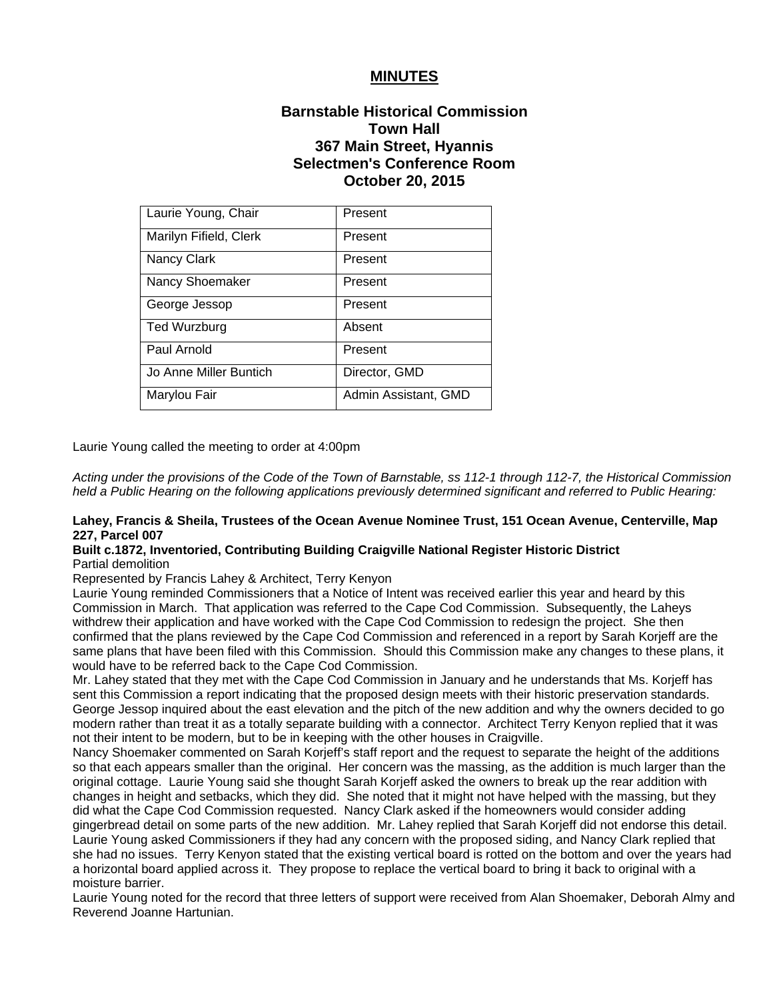## **MINUTES**

# **Barnstable Historical Commission Town Hall 367 Main Street, Hyannis Selectmen's Conference Room October 20, 2015**

| Laurie Young, Chair    | Present              |
|------------------------|----------------------|
| Marilyn Fifield, Clerk | Present              |
| Nancy Clark            | Present              |
| Nancy Shoemaker        | Present              |
| George Jessop          | Present              |
| Ted Wurzburg           | Absent               |
| Paul Arnold            | Present              |
| Jo Anne Miller Buntich | Director, GMD        |
| Marylou Fair           | Admin Assistant, GMD |

Laurie Young called the meeting to order at 4:00pm

*Acting under the provisions of the Code of the Town of Barnstable, ss 112-1 through 112-7, the Historical Commission held a Public Hearing on the following applications previously determined significant and referred to Public Hearing:*

## **Lahey, Francis & Sheila, Trustees of the Ocean Avenue Nominee Trust, 151 Ocean Avenue, Centerville, Map 227, Parcel 007**

#### **Built c.1872, Inventoried, Contributing Building Craigville National Register Historic District** Partial demolition

Represented by Francis Lahey & Architect, Terry Kenyon

Laurie Young reminded Commissioners that a Notice of Intent was received earlier this year and heard by this Commission in March. That application was referred to the Cape Cod Commission. Subsequently, the Laheys withdrew their application and have worked with the Cape Cod Commission to redesign the project. She then confirmed that the plans reviewed by the Cape Cod Commission and referenced in a report by Sarah Korjeff are the same plans that have been filed with this Commission. Should this Commission make any changes to these plans, it would have to be referred back to the Cape Cod Commission.

Mr. Lahey stated that they met with the Cape Cod Commission in January and he understands that Ms. Korjeff has sent this Commission a report indicating that the proposed design meets with their historic preservation standards. George Jessop inquired about the east elevation and the pitch of the new addition and why the owners decided to go modern rather than treat it as a totally separate building with a connector. Architect Terry Kenyon replied that it was not their intent to be modern, but to be in keeping with the other houses in Craigville.

Nancy Shoemaker commented on Sarah Korjeff's staff report and the request to separate the height of the additions so that each appears smaller than the original. Her concern was the massing, as the addition is much larger than the original cottage. Laurie Young said she thought Sarah Korjeff asked the owners to break up the rear addition with changes in height and setbacks, which they did. She noted that it might not have helped with the massing, but they did what the Cape Cod Commission requested. Nancy Clark asked if the homeowners would consider adding gingerbread detail on some parts of the new addition. Mr. Lahey replied that Sarah Korjeff did not endorse this detail. Laurie Young asked Commissioners if they had any concern with the proposed siding, and Nancy Clark replied that she had no issues. Terry Kenyon stated that the existing vertical board is rotted on the bottom and over the years had a horizontal board applied across it. They propose to replace the vertical board to bring it back to original with a moisture barrier.

Laurie Young noted for the record that three letters of support were received from Alan Shoemaker, Deborah Almy and Reverend Joanne Hartunian.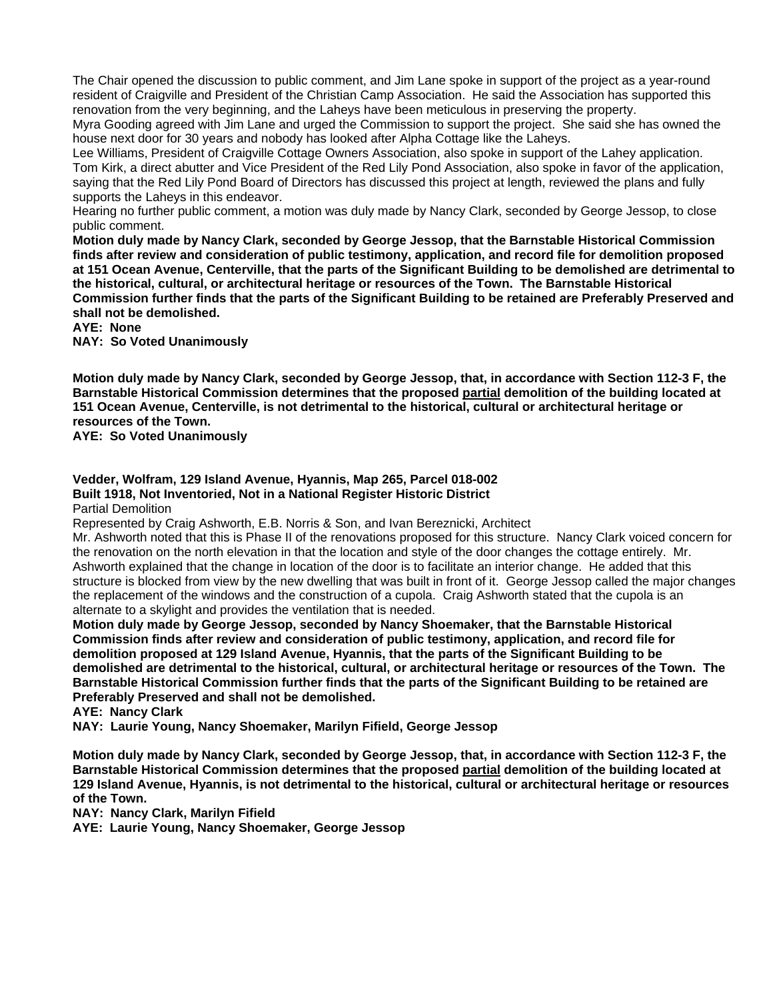The Chair opened the discussion to public comment, and Jim Lane spoke in support of the project as a year-round resident of Craigville and President of the Christian Camp Association. He said the Association has supported this renovation from the very beginning, and the Laheys have been meticulous in preserving the property.

Myra Gooding agreed with Jim Lane and urged the Commission to support the project. She said she has owned the house next door for 30 years and nobody has looked after Alpha Cottage like the Laheys.

Lee Williams, President of Craigville Cottage Owners Association, also spoke in support of the Lahey application. Tom Kirk, a direct abutter and Vice President of the Red Lily Pond Association, also spoke in favor of the application, saying that the Red Lily Pond Board of Directors has discussed this project at length, reviewed the plans and fully supports the Laheys in this endeavor.

Hearing no further public comment, a motion was duly made by Nancy Clark, seconded by George Jessop, to close public comment.

**Motion duly made by Nancy Clark, seconded by George Jessop, that the Barnstable Historical Commission finds after review and consideration of public testimony, application, and record file for demolition proposed at 151 Ocean Avenue, Centerville, that the parts of the Significant Building to be demolished are detrimental to the historical, cultural, or architectural heritage or resources of the Town. The Barnstable Historical Commission further finds that the parts of the Significant Building to be retained are Preferably Preserved and shall not be demolished.** 

**AYE: None** 

**NAY: So Voted Unanimously**

**Motion duly made by Nancy Clark, seconded by George Jessop, that, in accordance with Section 112-3 F, the Barnstable Historical Commission determines that the proposed partial demolition of the building located at 151 Ocean Avenue, Centerville, is not detrimental to the historical, cultural or architectural heritage or resources of the Town.** 

**AYE: So Voted Unanimously** 

### **Vedder, Wolfram, 129 Island Avenue, Hyannis, Map 265, Parcel 018-002 Built 1918, Not Inventoried, Not in a National Register Historic District**

Partial Demolition

Represented by Craig Ashworth, E.B. Norris & Son, and Ivan Bereznicki, Architect

Mr. Ashworth noted that this is Phase II of the renovations proposed for this structure. Nancy Clark voiced concern for the renovation on the north elevation in that the location and style of the door changes the cottage entirely. Mr. Ashworth explained that the change in location of the door is to facilitate an interior change. He added that this structure is blocked from view by the new dwelling that was built in front of it. George Jessop called the major changes the replacement of the windows and the construction of a cupola. Craig Ashworth stated that the cupola is an alternate to a skylight and provides the ventilation that is needed.

**Motion duly made by George Jessop, seconded by Nancy Shoemaker, that the Barnstable Historical Commission finds after review and consideration of public testimony, application, and record file for demolition proposed at 129 Island Avenue, Hyannis, that the parts of the Significant Building to be demolished are detrimental to the historical, cultural, or architectural heritage or resources of the Town. The Barnstable Historical Commission further finds that the parts of the Significant Building to be retained are Preferably Preserved and shall not be demolished.** 

**AYE: Nancy Clark** 

**NAY: Laurie Young, Nancy Shoemaker, Marilyn Fifield, George Jessop**

**Motion duly made by Nancy Clark, seconded by George Jessop, that, in accordance with Section 112-3 F, the Barnstable Historical Commission determines that the proposed partial demolition of the building located at 129 Island Avenue, Hyannis, is not detrimental to the historical, cultural or architectural heritage or resources of the Town.** 

**NAY: Nancy Clark, Marilyn Fifield** 

**AYE: Laurie Young, Nancy Shoemaker, George Jessop**